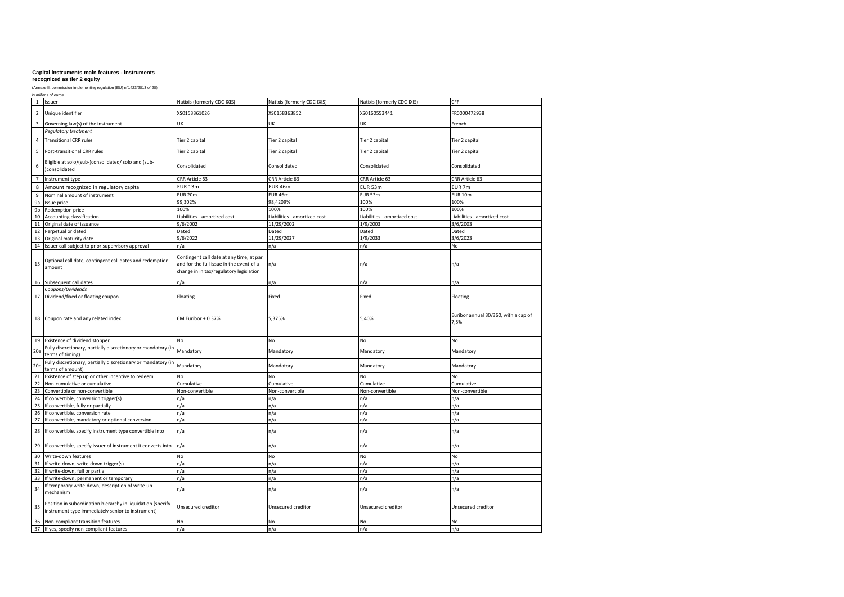### **recognized as tier 2 equity**

|                 | in millions of euros                                                                                             |                                                                                                                                 |                              |                              |                                               |  |  |  |
|-----------------|------------------------------------------------------------------------------------------------------------------|---------------------------------------------------------------------------------------------------------------------------------|------------------------------|------------------------------|-----------------------------------------------|--|--|--|
| 1               | Issuer                                                                                                           | Natixis (formerly CDC-IXIS)                                                                                                     | Natixis (formerly CDC-IXIS)  | Natixis (formerly CDC-IXIS)  | CFF                                           |  |  |  |
| $\overline{2}$  | Unique identifier                                                                                                | XS0153361026                                                                                                                    | XS0158363852                 | XS0160553441                 | FR0000472938                                  |  |  |  |
| 3               | Governing law(s) of the instrument                                                                               | UK                                                                                                                              | UK                           | UK                           | French                                        |  |  |  |
|                 | Regulatory treatment                                                                                             |                                                                                                                                 |                              |                              |                                               |  |  |  |
| 4               | <b>Transitional CRR rules</b>                                                                                    | Tier 2 capital                                                                                                                  | Tier 2 capital               | Tier 2 capital               | Tier 2 capital                                |  |  |  |
| 5               | Post-transitional CRR rules                                                                                      | Tier 2 capital                                                                                                                  | Tier 2 capital               | Tier 2 capital               | Tier 2 capital                                |  |  |  |
| 6               | Eligible at solo/(sub-)consolidated/ solo and (sub-<br>consolidated                                              | Consolidated                                                                                                                    | Consolidated                 | Consolidated                 | Consolidated                                  |  |  |  |
|                 |                                                                                                                  |                                                                                                                                 |                              |                              |                                               |  |  |  |
| $7\overline{ }$ | Instrument type                                                                                                  | CRR Article 63                                                                                                                  | CRR Article 63               | CRR Article 63               | CRR Article 63                                |  |  |  |
| 8               | Amount recognized in regulatory capital                                                                          | <b>EUR 13m</b>                                                                                                                  | <b>EUR 46m</b>               | EUR 53m                      | EUR <sub>7m</sub>                             |  |  |  |
| 9               | Nominal amount of instrument                                                                                     | EUR 20m                                                                                                                         | EUR 46m                      | EUR 53m                      | <b>EUR 10m</b>                                |  |  |  |
| 9a              | Issue price                                                                                                      | 99,302%                                                                                                                         | 98,4209%                     | 100%                         | 100%                                          |  |  |  |
| 9b              | Redemption price                                                                                                 | 100%                                                                                                                            | 100%                         | 100%                         | 100%                                          |  |  |  |
| 10              | Accounting classification                                                                                        | Liabilities - amortized cost                                                                                                    | Liabilities - amortized cost | Liabilities - amortized cost | Liabilities - amortized cost                  |  |  |  |
| $11\,$          | Original date of issuance                                                                                        | 9/6/2002                                                                                                                        | 11/29/2002                   | 1/9/2003                     | 3/6/2003                                      |  |  |  |
| 12              | Perpetual or dated                                                                                               | Dated                                                                                                                           | Dated                        | Dated                        | Dated                                         |  |  |  |
| 13              | Original maturity date                                                                                           | 9/6/2022                                                                                                                        | 11/29/2027                   | 1/9/2033                     | 3/6/2023                                      |  |  |  |
|                 | 14 Issuer call subject to prior supervisory approval                                                             | n/a                                                                                                                             | n/a                          | n/a                          | No                                            |  |  |  |
| 15              | Optional call date, contingent call dates and redemption<br>amount                                               | Contingent call date at any time, at par<br>and for the full issue in the event of a<br>change in in tax/regulatory legislation | n/a                          | n/a                          | n/a                                           |  |  |  |
| 16              | Subsequent call dates                                                                                            | n/a                                                                                                                             | n/a                          | n/a                          | n/a                                           |  |  |  |
|                 | Coupons/Dividends                                                                                                |                                                                                                                                 |                              |                              |                                               |  |  |  |
| 17              | Dividend/fixed or floating coupon                                                                                | Floating                                                                                                                        | Fixed                        | Fixed                        | Floating                                      |  |  |  |
| 18              | Coupon rate and any related index                                                                                | 6M Euribor + 0.37%                                                                                                              | 5,375%                       | 5,40%                        | Euribor annual 30/360, with a cap of<br>7,5%. |  |  |  |
| 19              | Existence of dividend stopper                                                                                    | No                                                                                                                              | No                           | No                           | No                                            |  |  |  |
|                 | Fully discretionary, partially discretionary or mandatory (in                                                    |                                                                                                                                 |                              |                              |                                               |  |  |  |
| 20a             | terms of timing)                                                                                                 | Mandatory                                                                                                                       | Mandatory                    | Mandatory                    | Mandatory                                     |  |  |  |
| 20 <sub>b</sub> | Fully discretionary, partially discretionary or mandatory (in<br>terms of amount)                                | Mandatory                                                                                                                       | Mandatory                    | Mandatory                    | Mandatory                                     |  |  |  |
| 21              | Existence of step up or other incentive to redeem                                                                | No                                                                                                                              | No                           | No                           | No                                            |  |  |  |
| 22              | Non-cumulative or cumulative                                                                                     | Cumulative                                                                                                                      | Cumulative                   | Cumulative                   | Cumulative                                    |  |  |  |
| 23              | Convertible or non-convertible                                                                                   | Non-convertible                                                                                                                 | Non-convertible              | Non-convertible              | Non-convertible                               |  |  |  |
| 24              | If convertible, conversion trigger(s)                                                                            | n/a                                                                                                                             | n/a                          | n/a                          | n/a                                           |  |  |  |
| 25              | If convertible, fully or partially                                                                               | n/a                                                                                                                             | n/a                          | n/a                          | n/a                                           |  |  |  |
| 26              | If convertible, conversion rate                                                                                  | n/a                                                                                                                             | n/a                          | n/a                          | n/a                                           |  |  |  |
| 27              | If convertible, mandatory or optional conversion                                                                 | n/a                                                                                                                             | n/a                          | n/a                          | n/a                                           |  |  |  |
| 28              | If convertible, specify instrument type convertible into                                                         | n/a                                                                                                                             | n/a                          | n/a                          | n/a                                           |  |  |  |
| 29              | If convertible, specify issuer of instrument it converts into                                                    | n/a                                                                                                                             | n/a                          | n/a                          | n/a                                           |  |  |  |
| 30              | Write-down features                                                                                              | No                                                                                                                              | No                           | No                           | No                                            |  |  |  |
| 31              | If write-down, write-down trigger(s)                                                                             | n/a                                                                                                                             | n/a                          | n/a                          | n/a                                           |  |  |  |
| 32              | If write-down, full or partial                                                                                   | n/a                                                                                                                             | n/a                          | n/a                          | n/a                                           |  |  |  |
| 33              | If write-down, permanent or temporary                                                                            | n/a                                                                                                                             | n/a                          | n/a                          | n/a                                           |  |  |  |
| 34              | If temporary write-down, description of write-up<br>mechanism                                                    | n/a                                                                                                                             | n/a                          | n/a                          | n/a                                           |  |  |  |
| 35              | Position in subordination hierarchy in liquidation (specify<br>instrument type immediately senior to instrument) | Unsecured creditor                                                                                                              | Unsecured creditor           | Unsecured creditor           | Unsecured creditor                            |  |  |  |
| 36              | Non-compliant transition features                                                                                | No                                                                                                                              | No                           | No                           | No                                            |  |  |  |
|                 | 37 If yes, specify non-compliant features                                                                        | n/a                                                                                                                             | n/a                          | n/a                          | n/a                                           |  |  |  |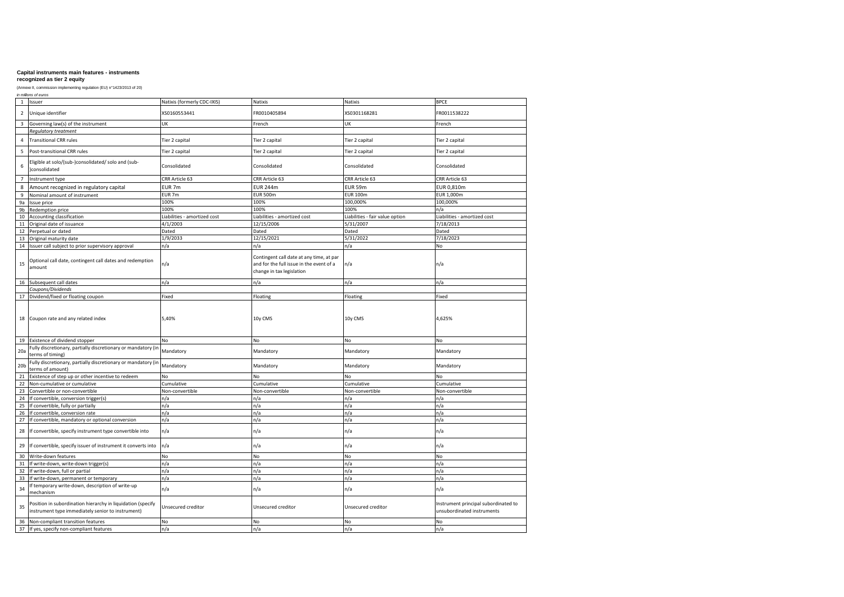### **recognized as tier 2 equity**

|                 | in millions of euros                                                                                             |                              |                                                                                                                   |                                 |                                                                    |  |  |  |
|-----------------|------------------------------------------------------------------------------------------------------------------|------------------------------|-------------------------------------------------------------------------------------------------------------------|---------------------------------|--------------------------------------------------------------------|--|--|--|
| $\mathbf{1}$    | Issuer                                                                                                           | Natixis (formerly CDC-IXIS)  | Natixis                                                                                                           | Natixis                         | <b>BPCE</b>                                                        |  |  |  |
| $\overline{2}$  | Unique identifier                                                                                                | XS0160553441                 | FR0010405894                                                                                                      | XS0301168281                    | FR0011538222                                                       |  |  |  |
| 3               | Governing law(s) of the instrument                                                                               | UK                           | French                                                                                                            | UK                              | French                                                             |  |  |  |
|                 | Regulatory treatment                                                                                             |                              |                                                                                                                   |                                 |                                                                    |  |  |  |
| 4               | <b>Transitional CRR rules</b>                                                                                    | Tier 2 capital               | Tier 2 capital                                                                                                    | Tier 2 capital                  | Tier 2 capital                                                     |  |  |  |
| 5               | Post-transitional CRR rules                                                                                      | Tier 2 capital               | Tier 2 capital                                                                                                    | Tier 2 capital                  | Tier 2 capital                                                     |  |  |  |
| 6               | Eligible at solo/(sub-)consolidated/ solo and (sub-<br>consolidated                                              | Consolidated                 | Consolidated                                                                                                      | Consolidated                    | Consolidated                                                       |  |  |  |
| $\overline{7}$  | Instrument type                                                                                                  | CRR Article 63               | CRR Article 63                                                                                                    | CRR Article 63                  | CRR Article 63                                                     |  |  |  |
| 8               | Amount recognized in regulatory capital                                                                          | EUR <sub>7m</sub>            | <b>EUR 244m</b>                                                                                                   | <b>EUR 59m</b>                  | EUR 0.810m                                                         |  |  |  |
| $\overline{9}$  | Nominal amount of instrument                                                                                     | EUR <sub>7m</sub>            | <b>EUR 500m</b>                                                                                                   | <b>EUR 100m</b>                 | EUR 1,000m                                                         |  |  |  |
| 9a              | Issue price                                                                                                      | 100%                         | 100%                                                                                                              | 100,000%                        | 100,000%                                                           |  |  |  |
| 9 <sub>b</sub>  | Redemption price                                                                                                 | 100%                         | 100%                                                                                                              | 100%                            | n/a                                                                |  |  |  |
| 10              | Accounting classification                                                                                        | Liabilities - amortized cost | Liabilities - amortized cost                                                                                      | Liabilities - fair value option | Liabilities - amortized cost                                       |  |  |  |
| 11              | Original date of issuance                                                                                        | 4/1/2003                     | 12/15/2006                                                                                                        | 5/31/2007                       | 7/18/2013                                                          |  |  |  |
| 12              | Perpetual or dated                                                                                               | Dated                        | Dated                                                                                                             | Dated                           | Dated                                                              |  |  |  |
| 13              | Original maturity date                                                                                           | 1/9/2033                     | 12/15/2021                                                                                                        | 5/31/2022                       | 7/18/2023                                                          |  |  |  |
| 14              | Issuer call subject to prior supervisory approval                                                                | n/a                          | n/a                                                                                                               | n/a                             | No                                                                 |  |  |  |
| 15              | Optional call date, contingent call dates and redemption<br>amount                                               | n/a                          | Contingent call date at any time, at par<br>and for the full issue in the event of a<br>change in tax legislation | n/a                             | n/a                                                                |  |  |  |
| 16              | Subsequent call dates                                                                                            | n/a                          | n/a                                                                                                               | n/a                             | n/a                                                                |  |  |  |
|                 | Coupons/Dividends                                                                                                |                              |                                                                                                                   |                                 |                                                                    |  |  |  |
| 17              | Dividend/fixed or floating coupon                                                                                | Fixed                        | Floating                                                                                                          | Floating                        | Fixed                                                              |  |  |  |
|                 | 18 Coupon rate and any related index                                                                             | 5,40%                        | 10y CMS                                                                                                           | 10y CMS                         | 4,625%                                                             |  |  |  |
| 19              | Existence of dividend stopper                                                                                    | No                           | No                                                                                                                | No                              | No                                                                 |  |  |  |
| 20a             | Fully discretionary, partially discretionary or mandatory (in<br>terms of timing)                                | Mandatory                    | Mandatory                                                                                                         | Mandatory                       | Mandatory                                                          |  |  |  |
| 20 <sub>b</sub> | Fully discretionary, partially discretionary or mandatory (in<br>terms of amount)                                | Mandatory                    | Mandatory                                                                                                         | Mandatory                       | Mandatory                                                          |  |  |  |
| 21              | Existence of step up or other incentive to redeem                                                                | No                           | No                                                                                                                | No                              | No                                                                 |  |  |  |
| 22              | Non-cumulative or cumulative                                                                                     | Cumulative                   | Cumulative                                                                                                        | Cumulative                      | Cumulative                                                         |  |  |  |
| 23              | Convertible or non-convertible                                                                                   | Non-convertible              | Non-convertible                                                                                                   | Non-convertible                 | Non-convertible                                                    |  |  |  |
| 24              | If convertible, conversion trigger(s)                                                                            | n/a                          | n/a                                                                                                               | n/a                             | n/a                                                                |  |  |  |
| 25              | If convertible, fully or partially                                                                               | n/a                          | n/a                                                                                                               | n/a                             | n/a                                                                |  |  |  |
| 26              | If convertible, conversion rate                                                                                  | n/a                          | n/a                                                                                                               | n/a                             | n/a                                                                |  |  |  |
| 27              | If convertible, mandatory or optional conversion                                                                 | n/a                          | n/a                                                                                                               | n/a                             | n/a                                                                |  |  |  |
| 28              | If convertible, specify instrument type convertible into                                                         | n/a                          | n/a                                                                                                               | n/a                             | n/a                                                                |  |  |  |
| 29              | If convertible, specify issuer of instrument it converts into                                                    | n/a                          | n/a                                                                                                               | n/a                             | n/a                                                                |  |  |  |
| 30              | Write-down features                                                                                              | No                           | No                                                                                                                | No                              | No                                                                 |  |  |  |
| 31              | If write-down, write-down trigger(s)                                                                             | n/a                          | n/a                                                                                                               | n/a                             | n/a                                                                |  |  |  |
| 32              | If write-down, full or partial                                                                                   | n/a                          | n/a                                                                                                               | n/a                             | n/a                                                                |  |  |  |
| 33              | If write-down, permanent or temporary                                                                            | n/a                          | n/a                                                                                                               | n/a                             | n/a                                                                |  |  |  |
| 34              | If temporary write-down, description of write-up<br>mechanism                                                    | n/a                          | n/a                                                                                                               | n/a                             | n/a                                                                |  |  |  |
| 35              | Position in subordination hierarchy in liquidation (specify<br>instrument type immediately senior to instrument) | Unsecured creditor           | Unsecured creditor                                                                                                | Unsecured creditor              | Instrument principal subordinated to<br>unsubordinated instruments |  |  |  |
| 36              | Non-compliant transition features                                                                                | No                           | No                                                                                                                | No                              | <b>No</b>                                                          |  |  |  |
|                 | 37 If yes, specify non-compliant features                                                                        | n/a                          | n/a                                                                                                               | n/a                             | n/a                                                                |  |  |  |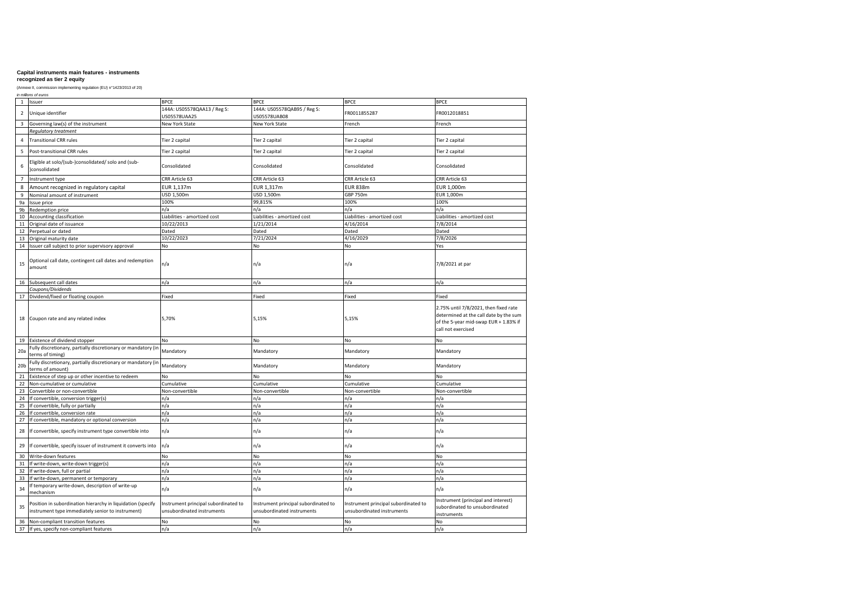# **recognized as tier 2 equity**

|                 | in millions of euros                                                                                             |                                                                    |                                                                    |                                                                    |                                                                                                                                                |  |  |  |
|-----------------|------------------------------------------------------------------------------------------------------------------|--------------------------------------------------------------------|--------------------------------------------------------------------|--------------------------------------------------------------------|------------------------------------------------------------------------------------------------------------------------------------------------|--|--|--|
| 1               | Issuer                                                                                                           | <b>BPCE</b>                                                        | <b>BPCE</b>                                                        | <b>BPCE</b>                                                        | <b>BPCE</b>                                                                                                                                    |  |  |  |
| $\overline{2}$  | Unique identifier                                                                                                | 144A: US05578QAA13 / Reg S:                                        | 144A: US05578QAB95 / Reg S:                                        | FR0011855287                                                       | FR0012018851                                                                                                                                   |  |  |  |
| 3               | Governing law(s) of the instrument                                                                               | US05578UAA25<br><b>New York State</b>                              | US05578UAB08<br>New York State                                     | French                                                             | French                                                                                                                                         |  |  |  |
|                 |                                                                                                                  |                                                                    |                                                                    |                                                                    |                                                                                                                                                |  |  |  |
|                 | Regulatory treatment                                                                                             |                                                                    |                                                                    |                                                                    |                                                                                                                                                |  |  |  |
| 4               | <b>Transitional CRR rules</b>                                                                                    | Tier 2 capital                                                     | Tier 2 capital                                                     | Tier 2 capital                                                     | Tier 2 capital                                                                                                                                 |  |  |  |
| 5               | Post-transitional CRR rules                                                                                      | Tier 2 capital                                                     | Tier 2 capital                                                     | Tier 2 capital                                                     | Tier 2 capital                                                                                                                                 |  |  |  |
| 6               | Eligible at solo/(sub-)consolidated/ solo and (sub-<br>)consolidated                                             | Consolidated                                                       | Consolidated                                                       | Consolidated                                                       | Consolidated                                                                                                                                   |  |  |  |
| $\overline{7}$  | Instrument type                                                                                                  | CRR Article 63                                                     | CRR Article 63                                                     | CRR Article 63                                                     | CRR Article 63                                                                                                                                 |  |  |  |
| 8               | Amount recognized in regulatory capital                                                                          | EUR 1,137m                                                         | EUR 1,317m                                                         | <b>EUR 838m</b>                                                    | EUR 1,000m                                                                                                                                     |  |  |  |
| 9               | Nominal amount of instrument                                                                                     | USD 1,500m                                                         | USD 1,500m                                                         | <b>GBP 750m</b>                                                    | EUR 1,000m                                                                                                                                     |  |  |  |
| 9a              |                                                                                                                  | 100%                                                               | 99,815%                                                            | 100%                                                               | 100%                                                                                                                                           |  |  |  |
|                 | Issue price                                                                                                      |                                                                    |                                                                    |                                                                    |                                                                                                                                                |  |  |  |
| 9b              | Redemption price                                                                                                 | n/a                                                                | n/a                                                                | n/a                                                                | n/a                                                                                                                                            |  |  |  |
| 10              | Accounting classification                                                                                        | Liabilities - amortized cost                                       | Liabilities - amortized cost                                       | Liabilities - amortized cost                                       | Liabilities - amortized cost                                                                                                                   |  |  |  |
| 11              | Original date of issuance                                                                                        | 10/22/2013                                                         | 1/21/2014                                                          | 4/16/2014                                                          | 7/8/2014                                                                                                                                       |  |  |  |
| 12              | Perpetual or dated                                                                                               | Dated                                                              | Dated                                                              | Dated                                                              | Dated                                                                                                                                          |  |  |  |
| 13              | Original maturity date                                                                                           | 10/22/2023                                                         | 7/21/2024                                                          | 4/16/2029                                                          | 7/8/2026                                                                                                                                       |  |  |  |
| 14              | Issuer call subject to prior supervisory approval                                                                | No                                                                 | No                                                                 | No                                                                 | Yes                                                                                                                                            |  |  |  |
| 15              | Optional call date, contingent call dates and redemption<br>amount                                               | n/a                                                                | n/a                                                                | n/a                                                                | 7/8/2021 at par                                                                                                                                |  |  |  |
| 16              | Subsequent call dates                                                                                            | n/a                                                                | n/a                                                                | n/a                                                                | n/a                                                                                                                                            |  |  |  |
|                 | Coupons/Dividends                                                                                                |                                                                    |                                                                    |                                                                    |                                                                                                                                                |  |  |  |
| 17              | Dividend/fixed or floating coupon                                                                                | Fixed                                                              | Fixed                                                              | Fixed                                                              | Fixed                                                                                                                                          |  |  |  |
| 18              | Coupon rate and any related index                                                                                | 5,70%                                                              | 5,15%                                                              | 5,15%                                                              | 2.75% until 7/8/2021, then fixed rate<br>determined at the call date by the sum<br>of the 5-year mid-swap EUR + 1.83% if<br>call not exercised |  |  |  |
| 19              | Existence of dividend stopper                                                                                    | No                                                                 | No                                                                 | No                                                                 | No                                                                                                                                             |  |  |  |
| 20a             | Fully discretionary, partially discretionary or mandatory (in<br>terms of timing)                                | Mandatory                                                          | Mandatory                                                          | Mandatory                                                          | Mandatory                                                                                                                                      |  |  |  |
| 20 <sub>b</sub> | Fully discretionary, partially discretionary or mandatory (in<br>terms of amount)                                | Mandatory                                                          | Mandatory                                                          | Mandatory                                                          | Mandatory                                                                                                                                      |  |  |  |
| 21              | Existence of step up or other incentive to redeem                                                                | No                                                                 | No                                                                 | No                                                                 | No                                                                                                                                             |  |  |  |
| 22              | Non-cumulative or cumulative                                                                                     | Cumulative                                                         | Cumulative                                                         | Cumulative                                                         | Cumulative                                                                                                                                     |  |  |  |
| 23              | Convertible or non-convertible                                                                                   | Non-convertible                                                    | Non-convertible                                                    | Non-convertible                                                    | Non-convertible                                                                                                                                |  |  |  |
| 24              | If convertible, conversion trigger(s)                                                                            | n/a                                                                | n/a                                                                | n/a                                                                | n/a                                                                                                                                            |  |  |  |
| 25              | If convertible, fully or partially                                                                               | n/a                                                                | n/a                                                                | n/a                                                                | n/a                                                                                                                                            |  |  |  |
| 26              | If convertible, conversion rate                                                                                  | n/a                                                                | n/a                                                                | n/a                                                                | n/a                                                                                                                                            |  |  |  |
|                 |                                                                                                                  |                                                                    |                                                                    |                                                                    |                                                                                                                                                |  |  |  |
| 27<br>28        | If convertible, mandatory or optional conversion<br>If convertible, specify instrument type convertible into     | n/a<br>n/a                                                         | n/a<br>n/a                                                         | n/a<br>n/a                                                         | n/a<br>n/a                                                                                                                                     |  |  |  |
| 29              | If convertible, specify issuer of instrument it converts into                                                    | n/a                                                                | n/a                                                                | n/a                                                                | n/a                                                                                                                                            |  |  |  |
| 30              | Write-down features                                                                                              | No                                                                 | No                                                                 | No                                                                 | No                                                                                                                                             |  |  |  |
| 31              | If write-down, write-down trigger(s)                                                                             | n/a                                                                | n/a                                                                | n/a                                                                | n/a                                                                                                                                            |  |  |  |
| 32              | If write-down, full or partial                                                                                   | n/a                                                                | n/a                                                                | n/a                                                                | n/a                                                                                                                                            |  |  |  |
| 33              | If write-down, permanent or temporary                                                                            | n/a                                                                | n/a                                                                | n/a                                                                | n/a                                                                                                                                            |  |  |  |
| 34              | If temporary write-down, description of write-up<br>mechanism                                                    | n/a                                                                | n/a                                                                | n/a                                                                | n/a                                                                                                                                            |  |  |  |
| 35              | Position in subordination hierarchy in liquidation (specify<br>instrument type immediately senior to instrument) | Instrument principal subordinated to<br>unsubordinated instruments | Instrument principal subordinated to<br>unsubordinated instruments | Instrument principal subordinated to<br>unsubordinated instruments | Instrument (principal and interest)<br>subordinated to unsubordinated<br>instruments                                                           |  |  |  |
| 36              | Non-compliant transition features                                                                                | No                                                                 | No                                                                 | No                                                                 | No                                                                                                                                             |  |  |  |
|                 | 37 If yes, specify non-compliant features                                                                        | n/a                                                                | n/a                                                                | n/a                                                                | n/a                                                                                                                                            |  |  |  |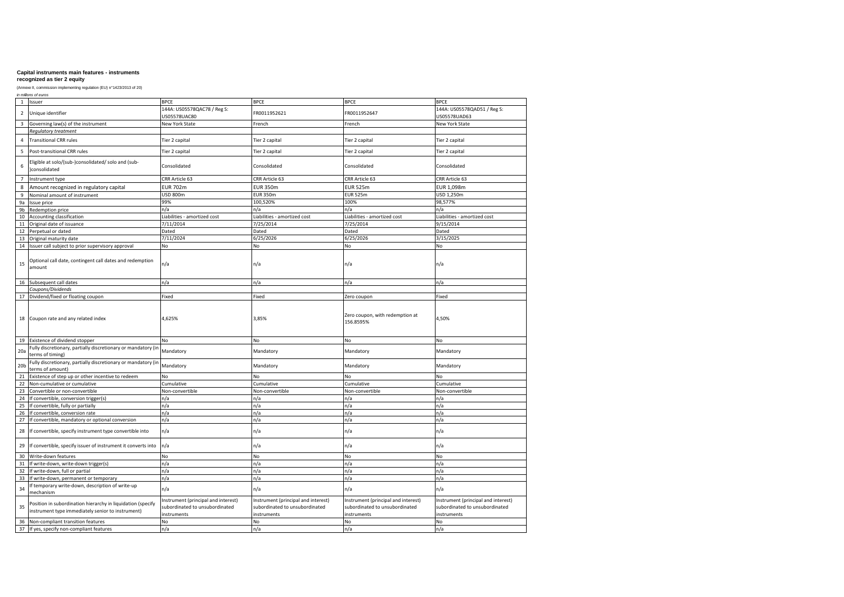# **recognized as tier 2 equity**

|                 | in millions of euros                                                                                             |                                                                                      |                                                                                      |                                                                                      |                                                                                      |  |  |  |
|-----------------|------------------------------------------------------------------------------------------------------------------|--------------------------------------------------------------------------------------|--------------------------------------------------------------------------------------|--------------------------------------------------------------------------------------|--------------------------------------------------------------------------------------|--|--|--|
|                 | 1 Issuer                                                                                                         | <b>BPCE</b>                                                                          | <b>BPCE</b>                                                                          | <b>BPCE</b>                                                                          | <b>BPCE</b>                                                                          |  |  |  |
| $\overline{2}$  | Unique identifier                                                                                                | 144A: US05578QAC78 / Reg S:<br>JS05578UAC80                                          | FR0011952621                                                                         | FR0011952647                                                                         | 144A: US05578QAD51 / Reg S:<br>US05578UAD63                                          |  |  |  |
| 3               | Governing law(s) of the instrument                                                                               | <b>New York State</b>                                                                | French                                                                               | French                                                                               | <b>New York State</b>                                                                |  |  |  |
|                 | Regulatory treatment                                                                                             |                                                                                      |                                                                                      |                                                                                      |                                                                                      |  |  |  |
| 4               | <b>Transitional CRR rules</b>                                                                                    | Tier 2 capital                                                                       | Tier 2 capital                                                                       | Tier 2 capital                                                                       | Tier 2 capital                                                                       |  |  |  |
|                 |                                                                                                                  |                                                                                      |                                                                                      |                                                                                      |                                                                                      |  |  |  |
| 5               | Post-transitional CRR rules                                                                                      | Tier 2 capital                                                                       | Tier 2 capital                                                                       | Tier 2 capital                                                                       | Tier 2 capital                                                                       |  |  |  |
| 6               | Eligible at solo/(sub-)consolidated/ solo and (sub-<br>consolidated                                              | Consolidated                                                                         | Consolidated                                                                         | Consolidated                                                                         | Consolidated                                                                         |  |  |  |
| $\overline{7}$  | Instrument type                                                                                                  | CRR Article 63                                                                       | CRR Article 63                                                                       | CRR Article 63                                                                       | CRR Article 63                                                                       |  |  |  |
| 8               | Amount recognized in regulatory capital                                                                          | <b>EUR 702m</b>                                                                      | <b>EUR 350m</b>                                                                      | <b>EUR 525m</b>                                                                      | EUR 1,098m                                                                           |  |  |  |
| 9               | Nominal amount of instrument                                                                                     | <b>USD 800m</b>                                                                      | <b>EUR 350m</b>                                                                      | <b>EUR 525m</b>                                                                      | USD 1,250m                                                                           |  |  |  |
| 9a              | Issue price                                                                                                      | 99%                                                                                  | 100,520%                                                                             | 100%                                                                                 | 98,577%                                                                              |  |  |  |
| 9b              | Redemption price                                                                                                 | n/a                                                                                  | n/a                                                                                  | n/a                                                                                  | n/a                                                                                  |  |  |  |
| 10              | Accounting classification                                                                                        | Liabilities - amortized cost                                                         | Liabilities - amortized cost                                                         | Liabilities - amortized cost                                                         | Liabilities - amortized cost                                                         |  |  |  |
| 11              | Original date of issuance                                                                                        | 7/11/2014                                                                            | 7/25/2014                                                                            | 7/25/2014                                                                            | 9/15/2014                                                                            |  |  |  |
| 12              | Perpetual or dated                                                                                               | Dated                                                                                | Dated                                                                                | Dated                                                                                | Dated                                                                                |  |  |  |
| 13              | Original maturity date                                                                                           | 7/11/2024                                                                            | 6/25/2026                                                                            | 6/25/2026                                                                            | 3/15/2025                                                                            |  |  |  |
|                 | 14 Issuer call subject to prior supervisory approval                                                             | No                                                                                   | No                                                                                   | No                                                                                   | No                                                                                   |  |  |  |
|                 |                                                                                                                  |                                                                                      |                                                                                      |                                                                                      |                                                                                      |  |  |  |
| 15              | Optional call date, contingent call dates and redemption<br>amount                                               | n/a                                                                                  | n/a                                                                                  | n/a                                                                                  | n/a                                                                                  |  |  |  |
|                 | 16 Subsequent call dates                                                                                         | n/a                                                                                  | n/a                                                                                  | n/a                                                                                  | n/a                                                                                  |  |  |  |
|                 | Coupons/Dividends                                                                                                |                                                                                      |                                                                                      |                                                                                      |                                                                                      |  |  |  |
| 17              | Dividend/fixed or floating coupon                                                                                | Fixed                                                                                | Fixed                                                                                | Zero coupon                                                                          | Fixed                                                                                |  |  |  |
|                 | 18 Coupon rate and any related index                                                                             | 4,625%                                                                               | 3,85%                                                                                | Zero coupon, with redemption at<br>156.8595%                                         | 4,50%                                                                                |  |  |  |
|                 | 19 Existence of dividend stopper                                                                                 | No                                                                                   | No                                                                                   | No                                                                                   | No                                                                                   |  |  |  |
| 20a             | Fully discretionary, partially discretionary or mandatory (in<br>terms of timing)                                | Mandatory                                                                            | Mandatory                                                                            | Mandatory                                                                            | Mandatory                                                                            |  |  |  |
| 20 <sub>b</sub> | Fully discretionary, partially discretionary or mandatory (in<br>terms of amount)                                | Mandatory                                                                            | Mandatory                                                                            | Mandatory                                                                            | Mandatory                                                                            |  |  |  |
| 21              | Existence of step up or other incentive to redeem                                                                | No                                                                                   | No                                                                                   | No                                                                                   | No                                                                                   |  |  |  |
| 22              | Non-cumulative or cumulative                                                                                     | Cumulative                                                                           | Cumulative                                                                           | Cumulative                                                                           | Cumulative                                                                           |  |  |  |
| 23              | Convertible or non-convertible                                                                                   | Non-convertible                                                                      | Non-convertible                                                                      | Non-convertible                                                                      | Non-convertible                                                                      |  |  |  |
| 24              | If convertible, conversion trigger(s)                                                                            | n/a                                                                                  | n/a                                                                                  | n/a                                                                                  | n/a                                                                                  |  |  |  |
| 25              | If convertible, fully or partially                                                                               | n/a                                                                                  | n/a                                                                                  | n/a                                                                                  | n/a                                                                                  |  |  |  |
| 26              | If convertible, conversion rate                                                                                  | n/a                                                                                  | n/a                                                                                  | n/a                                                                                  | n/a                                                                                  |  |  |  |
| 27              | If convertible, mandatory or optional conversion                                                                 | n/a                                                                                  | n/a                                                                                  | n/a                                                                                  | n/a                                                                                  |  |  |  |
| 28              | If convertible, specify instrument type convertible into                                                         | n/a                                                                                  | n/a                                                                                  | n/a                                                                                  | n/a                                                                                  |  |  |  |
| 29              | If convertible, specify issuer of instrument it converts into                                                    | n/a                                                                                  | n/a                                                                                  | n/a                                                                                  | n/a                                                                                  |  |  |  |
| 30              | Write-down features                                                                                              | No                                                                                   | No                                                                                   | No                                                                                   | No                                                                                   |  |  |  |
| 31              | If write-down, write-down trigger(s)                                                                             | n/a                                                                                  | n/a                                                                                  | n/a                                                                                  | n/a                                                                                  |  |  |  |
| 32              | If write-down, full or partial                                                                                   | n/a                                                                                  | n/a                                                                                  | n/a                                                                                  | n/a                                                                                  |  |  |  |
| 33              | If write-down, permanent or temporary                                                                            | n/a                                                                                  | n/a                                                                                  | n/a                                                                                  | n/a                                                                                  |  |  |  |
| 34              | If temporary write-down, description of write-up<br>mechanism                                                    | n/a                                                                                  | n/a                                                                                  | n/a                                                                                  | n/a                                                                                  |  |  |  |
| 35              | Position in subordination hierarchy in liquidation (specify<br>instrument type immediately senior to instrument) | Instrument (principal and interest)<br>subordinated to unsubordinated<br>instruments | Instrument (principal and interest)<br>subordinated to unsubordinated<br>instruments | Instrument (principal and interest)<br>subordinated to unsubordinated<br>instruments | Instrument (principal and interest)<br>subordinated to unsubordinated<br>instruments |  |  |  |
| 36              | Non-compliant transition features                                                                                | No                                                                                   | No                                                                                   | No                                                                                   | No                                                                                   |  |  |  |
| 37              | If yes, specify non-compliant features                                                                           | n/a                                                                                  | n/a                                                                                  | n/a                                                                                  | n/a                                                                                  |  |  |  |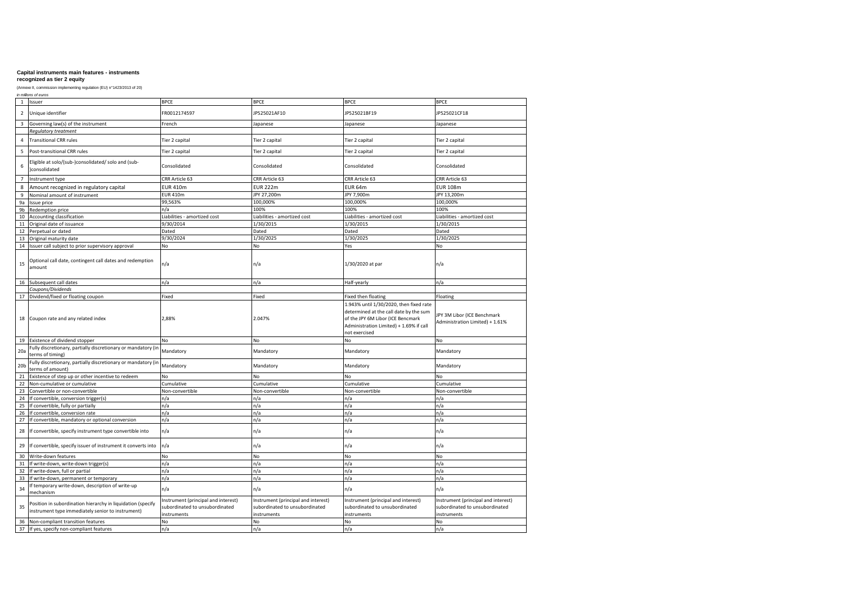### **recognized as tier 2 equity**

|                 | in millions of euros                                                                                             |                                                                                      |                                                                                      |                                                                                                                                                                                    |                                                                                      |  |  |  |
|-----------------|------------------------------------------------------------------------------------------------------------------|--------------------------------------------------------------------------------------|--------------------------------------------------------------------------------------|------------------------------------------------------------------------------------------------------------------------------------------------------------------------------------|--------------------------------------------------------------------------------------|--|--|--|
| $\overline{1}$  | Issuer                                                                                                           | <b>BPCE</b>                                                                          | <b>BPCE</b>                                                                          | <b>BPCE</b>                                                                                                                                                                        | <b>BPCE</b>                                                                          |  |  |  |
| $\overline{2}$  | Unique identifier                                                                                                | FR0012174597                                                                         | JP525021AF10                                                                         | JP525021BF19                                                                                                                                                                       | JP525021CF18                                                                         |  |  |  |
| $\overline{3}$  | Governing law(s) of the instrument                                                                               | French                                                                               | Japanese                                                                             | Japanese                                                                                                                                                                           | Japanese                                                                             |  |  |  |
|                 | Regulatory treatment                                                                                             |                                                                                      |                                                                                      |                                                                                                                                                                                    |                                                                                      |  |  |  |
| $\overline{4}$  | <b>Transitional CRR rules</b>                                                                                    | Tier 2 capital                                                                       | Tier 2 capital                                                                       | Tier 2 capital                                                                                                                                                                     | Tier 2 capital                                                                       |  |  |  |
| 5               | Post-transitional CRR rules                                                                                      | Tier 2 capital                                                                       | Tier 2 capital                                                                       | Tier 2 capital                                                                                                                                                                     | Tier 2 capital                                                                       |  |  |  |
| 6               | Eligible at solo/(sub-)consolidated/ solo and (sub-<br>consolidated                                              | Consolidated                                                                         | Consolidated                                                                         | Consolidated                                                                                                                                                                       | Consolidated                                                                         |  |  |  |
| $\overline{7}$  | Instrument type                                                                                                  | CRR Article 63                                                                       | CRR Article 63                                                                       | CRR Article 63                                                                                                                                                                     | CRR Article 63                                                                       |  |  |  |
| 8               | Amount recognized in regulatory capital                                                                          | <b>EUR 410m</b>                                                                      | <b>EUR 222m</b>                                                                      | <b>EUR 64m</b>                                                                                                                                                                     | <b>EUR 108m</b>                                                                      |  |  |  |
| 9               | Nominal amount of instrument                                                                                     | <b>EUR 410m</b>                                                                      | JPY 27,200m                                                                          | JPY 7,900m                                                                                                                                                                         | JPY 13,200m                                                                          |  |  |  |
| 9a              | Issue price                                                                                                      | 99,563%                                                                              | 100,000%                                                                             | 100,000%                                                                                                                                                                           | 100,000%                                                                             |  |  |  |
| 9b              | Redemption price                                                                                                 | n/a                                                                                  | 100%                                                                                 | 100%                                                                                                                                                                               | 100%                                                                                 |  |  |  |
| 10              | Accounting classification                                                                                        | Liabilities - amortized cost                                                         | Liabilities - amortized cost                                                         | Liabilities - amortized cost                                                                                                                                                       | Liabilities - amortized cost                                                         |  |  |  |
| 11              | Original date of issuance                                                                                        | 9/30/2014                                                                            | 1/30/2015                                                                            | 1/30/2015                                                                                                                                                                          | 1/30/2015                                                                            |  |  |  |
| 12              | Perpetual or dated                                                                                               | Dated                                                                                | Dated                                                                                | Dated                                                                                                                                                                              | Dated                                                                                |  |  |  |
| 13              | Original maturity date                                                                                           | 9/30/2024                                                                            | 1/30/2025                                                                            | 1/30/2025                                                                                                                                                                          | 1/30/2025                                                                            |  |  |  |
|                 | 14 Issuer call subject to prior supervisory approval                                                             | No                                                                                   | No                                                                                   | Yes                                                                                                                                                                                | No                                                                                   |  |  |  |
| 15              | Optional call date, contingent call dates and redemption<br>amount                                               | n/a                                                                                  | n/a                                                                                  | 1/30/2020 at par                                                                                                                                                                   | n/a                                                                                  |  |  |  |
| 16              | Subsequent call dates                                                                                            | n/a                                                                                  | n/a                                                                                  | Half-yearly                                                                                                                                                                        | n/a                                                                                  |  |  |  |
|                 | Coupons/Dividends                                                                                                |                                                                                      |                                                                                      |                                                                                                                                                                                    |                                                                                      |  |  |  |
| 17              | Dividend/fixed or floating coupon                                                                                | Fixed                                                                                | Fixed                                                                                | Fixed then floating                                                                                                                                                                | Floating                                                                             |  |  |  |
|                 | 18 Coupon rate and any related index                                                                             | 2,88%                                                                                | 2.047%                                                                               | 1.943% until 1/30/2020, then fixed rate<br>determined at the call date by the sum<br>of the JPY 6M Libor (ICE Bencmark<br>Administration Limited) + 1.69% if call<br>not exercised | JPY 3M Libor (ICE Benchmark<br>Administration Limited) + 1.61%                       |  |  |  |
|                 | 19 Existence of dividend stopper                                                                                 | No                                                                                   | No                                                                                   | No                                                                                                                                                                                 | No                                                                                   |  |  |  |
| 20a             | Fully discretionary, partially discretionary or mandatory (in<br>terms of timing)                                | Mandatory                                                                            | Mandatory                                                                            | Mandatory                                                                                                                                                                          | Mandatory                                                                            |  |  |  |
| 20 <sub>b</sub> | Fully discretionary, partially discretionary or mandatory (in<br>terms of amount)                                | Mandatory                                                                            | Mandatory                                                                            | Mandatory                                                                                                                                                                          | Mandatory                                                                            |  |  |  |
| 21              | Existence of step up or other incentive to redeem                                                                | No                                                                                   | No                                                                                   | No                                                                                                                                                                                 | No                                                                                   |  |  |  |
| 22              | Non-cumulative or cumulative                                                                                     | Cumulative                                                                           | Cumulative                                                                           | Cumulative                                                                                                                                                                         | Cumulative                                                                           |  |  |  |
| 23              | Convertible or non-convertible                                                                                   | Non-convertible                                                                      | Non-convertible                                                                      | Non-convertible                                                                                                                                                                    | Non-convertible                                                                      |  |  |  |
| 24              | If convertible, conversion trigger(s)                                                                            | n/a                                                                                  | n/a                                                                                  | n/a                                                                                                                                                                                | n/a                                                                                  |  |  |  |
| 25              | If convertible, fully or partially                                                                               | n/a                                                                                  | n/a                                                                                  | n/a                                                                                                                                                                                | n/a                                                                                  |  |  |  |
| 26              | If convertible, conversion rate                                                                                  | n/a                                                                                  | n/a                                                                                  | n/a                                                                                                                                                                                | n/a                                                                                  |  |  |  |
| 27              | If convertible, mandatory or optional conversion                                                                 | n/a                                                                                  | n/a                                                                                  | n/a                                                                                                                                                                                | n/a                                                                                  |  |  |  |
| 28              | If convertible, specify instrument type convertible into                                                         | n/a                                                                                  | n/a                                                                                  | n/a                                                                                                                                                                                | n/a                                                                                  |  |  |  |
| 29              | If convertible, specify issuer of instrument it converts into                                                    | n/a                                                                                  | n/a                                                                                  | n/a                                                                                                                                                                                | n/a                                                                                  |  |  |  |
| 30              | Write-down features                                                                                              | No                                                                                   | No                                                                                   | No                                                                                                                                                                                 | No                                                                                   |  |  |  |
| 31              | If write-down, write-down trigger(s)                                                                             | n/a                                                                                  | n/a                                                                                  | n/a                                                                                                                                                                                | n/a                                                                                  |  |  |  |
| 32              | If write-down, full or partial                                                                                   | n/a                                                                                  | n/a                                                                                  | n/a                                                                                                                                                                                | n/a                                                                                  |  |  |  |
| 33              | If write-down, permanent or temporary                                                                            | n/a                                                                                  | n/a                                                                                  | n/a                                                                                                                                                                                | n/a                                                                                  |  |  |  |
| 34              | If temporary write-down, description of write-up<br>mechanism                                                    | n/a                                                                                  | n/a                                                                                  | n/a                                                                                                                                                                                | n/a                                                                                  |  |  |  |
| 35              | Position in subordination hierarchy in liquidation (specify<br>instrument type immediately senior to instrument) | Instrument (principal and interest)<br>subordinated to unsubordinated<br>instruments | Instrument (principal and interest)<br>subordinated to unsubordinated<br>instruments | Instrument (principal and interest)<br>subordinated to unsubordinated<br>instruments                                                                                               | Instrument (principal and interest)<br>subordinated to unsubordinated<br>instruments |  |  |  |
| 36              | Non-compliant transition features                                                                                | No                                                                                   | No                                                                                   | No                                                                                                                                                                                 | No                                                                                   |  |  |  |
|                 | 37 If yes, specify non-compliant features                                                                        | n/a                                                                                  | n/a                                                                                  | n/a                                                                                                                                                                                | n/a                                                                                  |  |  |  |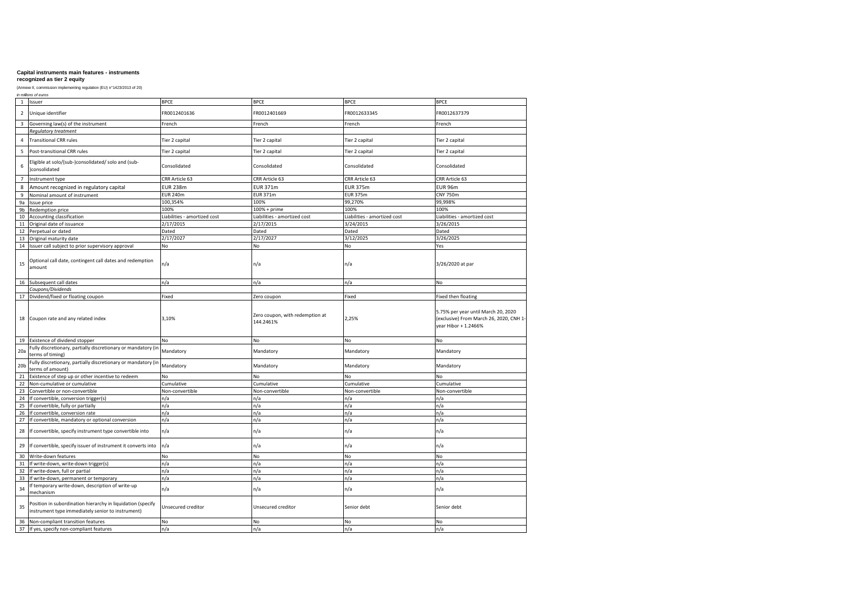# **recognized as tier 2 equity**

|                 | in millions of euros                                                                                             |                              |                                              |                              |                                                                                                        |  |  |  |
|-----------------|------------------------------------------------------------------------------------------------------------------|------------------------------|----------------------------------------------|------------------------------|--------------------------------------------------------------------------------------------------------|--|--|--|
| $\mathbf{1}$    | Issuer                                                                                                           | <b>BPCE</b>                  | <b>BPCE</b>                                  | <b>BPCE</b>                  | <b>BPCE</b>                                                                                            |  |  |  |
| $\overline{2}$  | Unique identifier                                                                                                | FR0012401636                 | FR0012401669                                 | FR0012633345                 | FR0012637379                                                                                           |  |  |  |
| $\overline{3}$  | Governing law(s) of the instrument                                                                               | French                       | French                                       | French                       | French                                                                                                 |  |  |  |
|                 | Regulatory treatment                                                                                             |                              |                                              |                              |                                                                                                        |  |  |  |
| $\overline{4}$  | <b>Transitional CRR rules</b>                                                                                    | Tier 2 capital               | Tier 2 capital                               | Tier 2 capital               | Tier 2 capital                                                                                         |  |  |  |
| 5               | Post-transitional CRR rules                                                                                      | Tier 2 capital               | Tier 2 capital                               | Tier 2 capital               | Tier 2 capital                                                                                         |  |  |  |
| 6               | Eligible at solo/(sub-)consolidated/ solo and (sub-<br>)consolidated                                             | Consolidated                 | Consolidated                                 | Consolidated                 | Consolidated                                                                                           |  |  |  |
| $\overline{7}$  | Instrument type                                                                                                  | CRR Article 63               | CRR Article 63                               | CRR Article 63               | CRR Article 63                                                                                         |  |  |  |
| 8               | Amount recognized in regulatory capital                                                                          | <b>EUR 238m</b>              | <b>EUR 371m</b>                              | <b>EUR 375m</b>              | EUR 96m                                                                                                |  |  |  |
| 9               | Nominal amount of instrument                                                                                     | <b>EUR 240m</b>              | <b>EUR 371m</b>                              | <b>EUR 375m</b>              | <b>CNY 750m</b>                                                                                        |  |  |  |
| 9a              | Issue price                                                                                                      | 100,354%                     | 100%                                         | 99,270%                      | 99,998%                                                                                                |  |  |  |
| 9b              | Redemption price                                                                                                 | 100%                         | 100% + prime                                 | 100%                         | 100%                                                                                                   |  |  |  |
| 10              | Accounting classification                                                                                        | Liabilities - amortized cost | Liabilities - amortized cost                 | Liabilities - amortized cost | Liabilities - amortized cost                                                                           |  |  |  |
| $11\,$          | Original date of issuance                                                                                        | 2/17/2015                    | 2/17/2015                                    | 3/24/2015                    | 3/26/2015                                                                                              |  |  |  |
|                 |                                                                                                                  |                              |                                              |                              |                                                                                                        |  |  |  |
| 12              | Perpetual or dated                                                                                               | Dated                        | Dated                                        | Dated                        | Dated                                                                                                  |  |  |  |
| 13              | Original maturity date                                                                                           | $\frac{1}{2}$ /17/2027       | 2/17/2027                                    | 3/12/2025                    | 3/26/2025                                                                                              |  |  |  |
|                 | 14 Issuer call subject to prior supervisory approval                                                             | No                           | No                                           | No                           | Yes                                                                                                    |  |  |  |
| 15              | Optional call date, contingent call dates and redemption<br>amount                                               | n/a                          | n/a                                          | n/a                          | 3/26/2020 at par                                                                                       |  |  |  |
| 16              | Subsequent call dates                                                                                            | n/a                          | n/a                                          | n/a                          | No                                                                                                     |  |  |  |
|                 | Coupons/Dividends                                                                                                |                              |                                              |                              |                                                                                                        |  |  |  |
| 17              | Dividend/fixed or floating coupon                                                                                | Fixed                        | Zero coupon                                  | Fixed                        | Fixed then floating                                                                                    |  |  |  |
|                 | 18 Coupon rate and any related index                                                                             | 3,10%                        | Zero coupon, with redemption at<br>144.2461% | 2,25%                        | 5.75% per year until March 20, 2020<br>(exclusive) From March 26, 2020, CNH 1-<br>vear Hibor + 1.2466% |  |  |  |
|                 | 19 Existence of dividend stopper                                                                                 | No                           | No                                           | No                           | No                                                                                                     |  |  |  |
| 20a             | Fully discretionary, partially discretionary or mandatory (in<br>terms of timing)                                | Mandatory                    | Mandatory                                    | Mandatory                    | Mandatory                                                                                              |  |  |  |
| 20 <sub>b</sub> | Fully discretionary, partially discretionary or mandatory (in<br>terms of amount)                                | Mandatory                    | Mandatory                                    | Mandatory                    | Mandatory                                                                                              |  |  |  |
| 21              | Existence of step up or other incentive to redeem                                                                | No                           | No                                           | No                           | No                                                                                                     |  |  |  |
| 22              | Non-cumulative or cumulative                                                                                     | Cumulative                   | Cumulative                                   | Cumulative                   | Cumulative                                                                                             |  |  |  |
| 23              | Convertible or non-convertible                                                                                   | Non-convertible              | Non-convertible                              | Non-convertible              | Non-convertible                                                                                        |  |  |  |
| 24              | If convertible, conversion trigger(s)                                                                            |                              |                                              |                              |                                                                                                        |  |  |  |
|                 |                                                                                                                  | n/a                          | n/a                                          | n/a                          | n/a                                                                                                    |  |  |  |
| 25              | If convertible, fully or partially                                                                               | n/a                          | n/a                                          | n/a                          | n/a                                                                                                    |  |  |  |
| 26              | If convertible, conversion rate                                                                                  | n/a                          | n/a                                          | n/a                          | n/a                                                                                                    |  |  |  |
| 27              | If convertible, mandatory or optional conversion                                                                 | n/a                          | n/a                                          | n/a                          | n/a                                                                                                    |  |  |  |
| 28              | If convertible, specify instrument type convertible into                                                         | n/a                          | n/a                                          | n/a                          | n/a                                                                                                    |  |  |  |
| 29              | If convertible, specify issuer of instrument it converts into                                                    | n/a                          | n/a                                          | n/a                          | n/a                                                                                                    |  |  |  |
| 30              | Write-down features                                                                                              | No                           | No                                           | No                           | No                                                                                                     |  |  |  |
| 31              | If write-down, write-down trigger(s)                                                                             | n/a                          | n/a                                          | n/a                          | n/a                                                                                                    |  |  |  |
| 32              | If write-down, full or partial                                                                                   | n/a                          | n/a                                          | n/a                          | n/a                                                                                                    |  |  |  |
| 33              | If write-down, permanent or temporary                                                                            | n/a                          | n/a                                          | n/a                          | n/a                                                                                                    |  |  |  |
| 34              | If temporary write-down, description of write-up<br>mechanism                                                    | n/a                          | n/a                                          | n/a                          | n/a                                                                                                    |  |  |  |
| 35              | Position in subordination hierarchy in liquidation (specify<br>instrument type immediately senior to instrument) | Unsecured creditor           | Unsecured creditor                           | Senior debt                  | Senior debt                                                                                            |  |  |  |
| 36              | Non-compliant transition features                                                                                | No                           | No                                           | No                           | No                                                                                                     |  |  |  |
|                 | 37 If yes, specify non-compliant features                                                                        | n/a                          | n/a                                          | n/a                          | n/a                                                                                                    |  |  |  |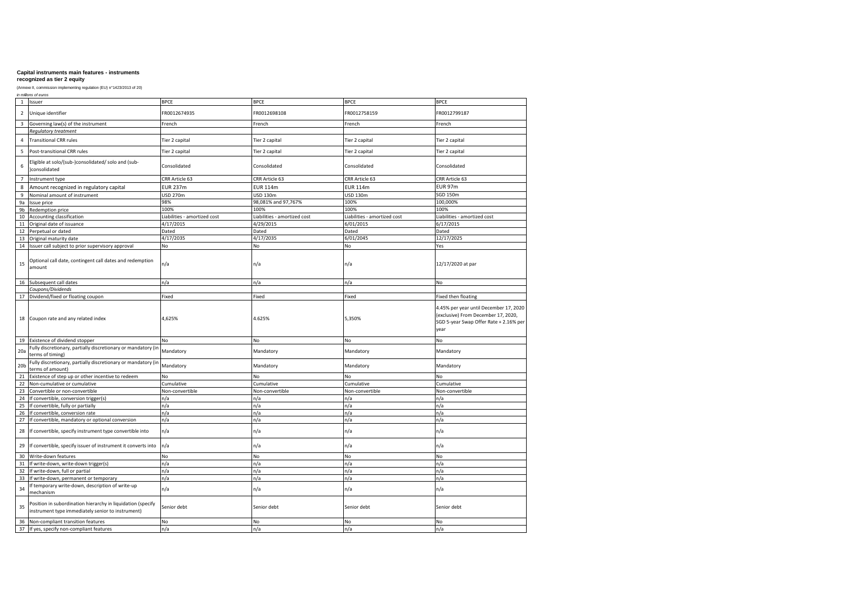# **recognized as tier 2 equity**

|                         | in millions of euros                                                                                             |                              |                              |                              |                                                                                                                                 |
|-------------------------|------------------------------------------------------------------------------------------------------------------|------------------------------|------------------------------|------------------------------|---------------------------------------------------------------------------------------------------------------------------------|
| $\mathbf{1}$            | Issuer                                                                                                           | <b>BPCE</b>                  | <b>BPCE</b>                  | <b>BPCE</b>                  | <b>BPCE</b>                                                                                                                     |
| $\overline{2}$          | Unique identifier                                                                                                | FR0012674935                 | FR0012698108                 | FR0012758159                 | FR0012799187                                                                                                                    |
| $\overline{\mathbf{3}}$ | Governing law(s) of the instrument                                                                               | French                       | French                       | French                       | French                                                                                                                          |
|                         | Regulatory treatment                                                                                             |                              |                              |                              |                                                                                                                                 |
| $\overline{4}$          | <b>Transitional CRR rules</b>                                                                                    | Tier 2 capital               | Tier 2 capital               | Tier 2 capital               | Tier 2 capital                                                                                                                  |
| 5                       | Post-transitional CRR rules                                                                                      | Tier 2 capital               | Tier 2 capital               | Tier 2 capital               | Tier 2 capital                                                                                                                  |
| 6                       | Eligible at solo/(sub-)consolidated/ solo and (sub-<br>consolidated                                              | Consolidated                 | Consolidated                 | Consolidated                 | Consolidated                                                                                                                    |
| $\overline{7}$          | Instrument type                                                                                                  | CRR Article 63               | CRR Article 63               | CRR Article 63               | CRR Article 63                                                                                                                  |
| 8                       | Amount recognized in regulatory capital                                                                          | <b>EUR 237m</b>              | <b>EUR 114m</b>              | <b>EUR 114m</b>              | <b>EUR 97m</b>                                                                                                                  |
| 9                       | Nominal amount of instrument                                                                                     | <b>USD 270m</b>              | USD 130m                     | <b>USD 130m</b>              | SGD 150m                                                                                                                        |
| 9a                      | Issue price                                                                                                      | 98%                          | 98,081% and 97,767%          | 100%                         | 100,000%                                                                                                                        |
| $9\mathsf{b}$           | Redemption price                                                                                                 | 100%                         | 100%                         | 100%                         | 100%                                                                                                                            |
| 10                      | Accounting classification                                                                                        | Liabilities - amortized cost | Liabilities - amortized cost | Liabilities - amortized cost | Liabilities - amortized cost                                                                                                    |
|                         |                                                                                                                  |                              |                              |                              |                                                                                                                                 |
| 11                      | Original date of issuance                                                                                        | 4/17/2015                    | 4/29/2015                    | 6/01/2015                    | 6/17/2015                                                                                                                       |
| 12                      | Perpetual or dated                                                                                               | Dated                        | Dated                        | Dated                        | Dated                                                                                                                           |
| 13                      | Original maturity date                                                                                           | 4/17/2035                    | 4/17/2035                    | 6/01/2045                    | 12/17/2025                                                                                                                      |
|                         | 14 Issuer call subject to prior supervisory approval                                                             | No                           | No                           | No                           | Yes                                                                                                                             |
| 15                      | Optional call date, contingent call dates and redemption<br>amount                                               | n/a                          | n/a                          | n/a                          | 12/17/2020 at par                                                                                                               |
|                         | 16 Subsequent call dates                                                                                         | n/a                          | n/a                          | n/a                          | No                                                                                                                              |
|                         | Coupons/Dividends                                                                                                |                              |                              |                              |                                                                                                                                 |
| 17                      | Dividend/fixed or floating coupon                                                                                | Fixed                        | Fixed                        | Fixed                        | Fixed then floating                                                                                                             |
|                         | 18 Coupon rate and any related index                                                                             | 4,625%                       | 4.625%                       | 5,350%                       | 4.45% per year until December 17, 2020<br>(exclusive) From December 17, 2020,<br>SGD 5-year Swap Offer Rate + 2.16% per<br>year |
|                         | 19 Existence of dividend stopper                                                                                 | No                           | <b>No</b>                    | No.                          | No                                                                                                                              |
| 20a                     | Fully discretionary, partially discretionary or mandatory (in<br>terms of timing)                                | Mandatory                    | Mandatory                    | Mandatory                    | Mandatory                                                                                                                       |
| 20 <sub>b</sub>         | Fully discretionary, partially discretionary or mandatory (in<br>terms of amount)                                | Mandatory                    | Mandatory                    | Mandatory                    | Mandatory                                                                                                                       |
| 21                      | Existence of step up or other incentive to redeem                                                                | No                           | No                           | No                           | No                                                                                                                              |
| 22                      | Non-cumulative or cumulative                                                                                     | Cumulative                   | Cumulative                   | Cumulative                   | Cumulative                                                                                                                      |
| 23                      | Convertible or non-convertible                                                                                   | Non-convertible              | Non-convertible              | Non-convertible              | Non-convertible                                                                                                                 |
| 24                      | If convertible, conversion trigger(s)                                                                            | n/a                          | n/a                          | n/a                          | n/a                                                                                                                             |
| 25                      | If convertible, fully or partially                                                                               | n/a                          | n/a                          | n/a                          | n/a                                                                                                                             |
| 26                      | If convertible, conversion rate                                                                                  | n/a                          | n/a                          | n/a                          | n/a                                                                                                                             |
| 27                      | If convertible, mandatory or optional conversion                                                                 | n/a                          | n/a                          | n/a                          | n/a                                                                                                                             |
| 28                      | If convertible, specify instrument type convertible into                                                         | n/a                          | n/a                          | n/a                          | n/a                                                                                                                             |
| 29                      | If convertible, specify issuer of instrument it converts into                                                    | n/a                          | n/a                          | n/a                          | n/a                                                                                                                             |
| 30                      | Write-down features                                                                                              | No                           | No                           | No                           | No                                                                                                                              |
| 31                      | If write-down, write-down trigger(s)                                                                             | n/a                          | n/a                          | n/a                          | n/a                                                                                                                             |
| 32                      | If write-down, full or partial                                                                                   | n/a                          | n/a                          | n/a                          | n/a                                                                                                                             |
| 33                      | If write-down, permanent or temporary                                                                            | n/a                          | n/a                          | n/a                          | n/a                                                                                                                             |
| 34                      | If temporary write-down, description of write-up<br>mechanism                                                    | n/a                          | n/a                          | n/a                          | n/a                                                                                                                             |
| 35                      | Position in subordination hierarchy in liquidation (specify<br>instrument type immediately senior to instrument) | Senior debt                  | Senior debt                  | Senior debt                  | Senior debt                                                                                                                     |
| 36                      | Non-compliant transition features                                                                                | No                           | No                           | No                           | No                                                                                                                              |
|                         | 37 If yes, specify non-compliant features                                                                        | n/a                          | n/a                          | n/a                          | n/a                                                                                                                             |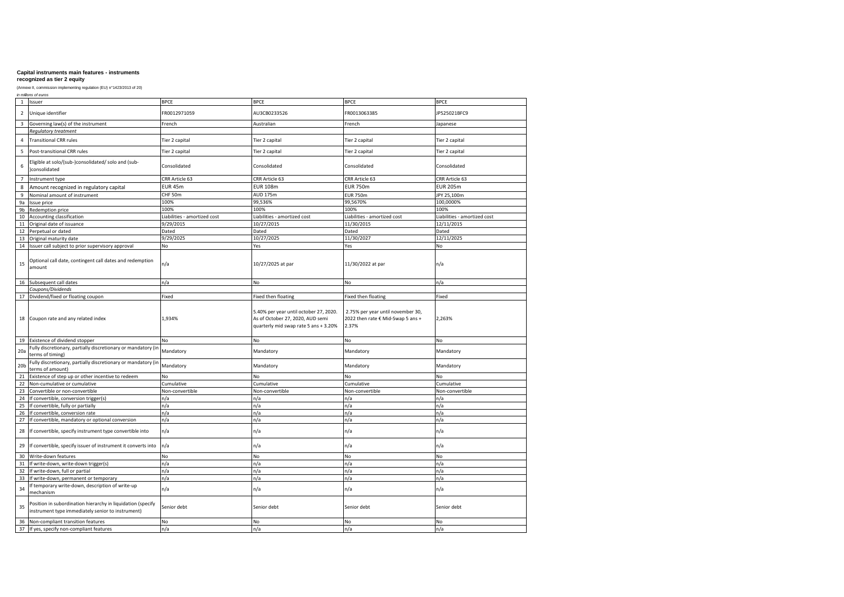### **recognized as tier 2 equity**

|                 | in millions of euros                                                                                             |                              |                                                                                                                     |                                                                                 |                              |
|-----------------|------------------------------------------------------------------------------------------------------------------|------------------------------|---------------------------------------------------------------------------------------------------------------------|---------------------------------------------------------------------------------|------------------------------|
| $\mathbf{1}$    | Issuer                                                                                                           | <b>BPCE</b>                  | <b>BPCE</b>                                                                                                         | <b>BPCE</b>                                                                     | <b>BPCE</b>                  |
| $\overline{2}$  | Unique identifier                                                                                                | FR0012971059                 | AU3CB0233526                                                                                                        | FR0013063385                                                                    | JP525021BFC9                 |
| 3               | Governing law(s) of the instrument                                                                               | French                       | Australian                                                                                                          | French                                                                          | Japanese                     |
|                 | Regulatory treatment                                                                                             |                              |                                                                                                                     |                                                                                 |                              |
| 4               | <b>Transitional CRR rules</b>                                                                                    | Tier 2 capital               | Tier 2 capital                                                                                                      | Tier 2 capital                                                                  | Tier 2 capital               |
| 5               | Post-transitional CRR rules                                                                                      | Tier 2 capital               | Tier 2 capital                                                                                                      | Tier 2 capital                                                                  | Tier 2 capital               |
| 6               | Eligible at solo/(sub-)consolidated/ solo and (sub-<br>consolidated                                              | Consolidated                 | Consolidated                                                                                                        | Consolidated                                                                    | Consolidated                 |
| $\overline{7}$  | Instrument type                                                                                                  | CRR Article 63               | CRR Article 63                                                                                                      | CRR Article 63                                                                  | CRR Article 63               |
| 8               | Amount recognized in regulatory capital                                                                          | <b>EUR 45m</b>               | <b>EUR 108m</b>                                                                                                     | <b>EUR 750m</b>                                                                 | <b>EUR 205m</b>              |
| 9               | Nominal amount of instrument                                                                                     | CHF 50m                      | AUD 175m                                                                                                            | <b>EUR 750m</b>                                                                 | JPY 25,100m                  |
| 9a              | Issue price                                                                                                      | 100%                         | 99,536%                                                                                                             | 99,5670%                                                                        | 100,0000%                    |
| 9b              | Redemption price                                                                                                 | 100%                         | 100%                                                                                                                | 100%                                                                            | 100%                         |
| 10              | Accounting classification                                                                                        | Liabilities - amortized cost | Liabilities - amortized cost                                                                                        | Liabilities - amortized cost                                                    | Liabilities - amortized cost |
| 11              | Original date of issuance                                                                                        | 9/29/2015                    | 10/27/2015                                                                                                          | 11/30/2015                                                                      | 12/11/2015                   |
| 12              | Perpetual or dated                                                                                               | Dated                        | Dated                                                                                                               | Dated                                                                           | Dated                        |
| 13              | Original maturity date                                                                                           | 9/29/2025                    | 10/27/2025                                                                                                          | 11/30/2027                                                                      | 12/11/2025                   |
| 14              | Issuer call subject to prior supervisory approval                                                                | No                           | Yes                                                                                                                 | Yes                                                                             | No                           |
| 15              | Optional call date, contingent call dates and redemption<br>amount                                               | n/a                          | 10/27/2025 at par                                                                                                   | 11/30/2022 at par                                                               | n/a                          |
|                 | 16 Subsequent call dates                                                                                         | n/a                          | No                                                                                                                  | No                                                                              | n/a                          |
|                 | Coupons/Dividends                                                                                                |                              |                                                                                                                     |                                                                                 |                              |
| 17              | Dividend/fixed or floating coupon                                                                                | Fixed                        | Fixed then floating                                                                                                 | Fixed then floating                                                             | Fixed                        |
|                 | 18 Coupon rate and any related index                                                                             | 1,934%                       | 5.40% per year until october 27, 2020.<br>As of October 27, 2020, AUD semi<br>quarterly mid swap rate 5 ans + 3.20% | 2.75% per year until november 30,<br>2022 then rate € Mid-Swap 5 ans +<br>2.37% | 2,263%                       |
|                 | 19 Existence of dividend stopper                                                                                 | No                           | No                                                                                                                  | No                                                                              | No                           |
| 20a             | Fully discretionary, partially discretionary or mandatory (in<br>terms of timing)                                | Mandatory                    | Mandatory                                                                                                           | Mandatory                                                                       | Mandatory                    |
| 20 <sub>b</sub> | Fully discretionary, partially discretionary or mandatory (in<br>terms of amount)                                | Mandatory                    | Mandatory                                                                                                           | Mandatory                                                                       | Mandatory                    |
| 21              | Existence of step up or other incentive to redeem                                                                | No                           | No                                                                                                                  | No                                                                              | No                           |
| 22              | Non-cumulative or cumulative                                                                                     | Cumulative                   | Cumulative                                                                                                          | Cumulative                                                                      | Cumulative                   |
| 23              | Convertible or non-convertible                                                                                   | Non-convertible              | Non-convertible                                                                                                     | Non-convertible                                                                 | Non-convertible              |
| 24              | If convertible, conversion trigger(s)                                                                            | n/a                          | n/a                                                                                                                 | n/a                                                                             | n/a                          |
| 25              | If convertible, fully or partially                                                                               | n/a                          | n/a                                                                                                                 | n/a                                                                             | n/a                          |
| 26              | If convertible, conversion rate                                                                                  | n/a                          | n/a                                                                                                                 | n/a                                                                             | n/a                          |
| 27              | If convertible, mandatory or optional conversion                                                                 | n/a                          | n/a                                                                                                                 | n/a                                                                             | n/a                          |
| 28              | If convertible, specify instrument type convertible into                                                         | n/a                          | n/a                                                                                                                 | n/a                                                                             | n/a                          |
| 29              | If convertible, specify issuer of instrument it converts into                                                    | n/a                          | n/a                                                                                                                 | n/a                                                                             | n/a                          |
| 30              | Write-down features                                                                                              | No                           | No                                                                                                                  | No                                                                              | No                           |
| 31              | If write-down, write-down trigger(s)                                                                             | n/a                          | n/a                                                                                                                 | n/a                                                                             | n/a                          |
| 32              | If write-down, full or partial                                                                                   | n/a                          | n/a                                                                                                                 | n/a                                                                             | n/a                          |
| 33              |                                                                                                                  | n/a                          | n/a                                                                                                                 | n/a                                                                             | n/a                          |
|                 |                                                                                                                  |                              |                                                                                                                     |                                                                                 |                              |
| 34              | If write-down, permanent or temporary<br>If temporary write-down, description of write-up<br>mechanism           | n/a                          | n/a                                                                                                                 | n/a                                                                             | n/a                          |
| 35              | Position in subordination hierarchy in liquidation (specify<br>instrument type immediately senior to instrument) | Senior debt                  | Senior debt                                                                                                         | Senior debt                                                                     | Senior debt                  |
| 36              | Non-compliant transition features<br>37 If yes, specify non-compliant features                                   | No<br>n/a                    | No<br>n/a                                                                                                           | <b>No</b><br>n/a                                                                | <b>No</b><br>n/a             |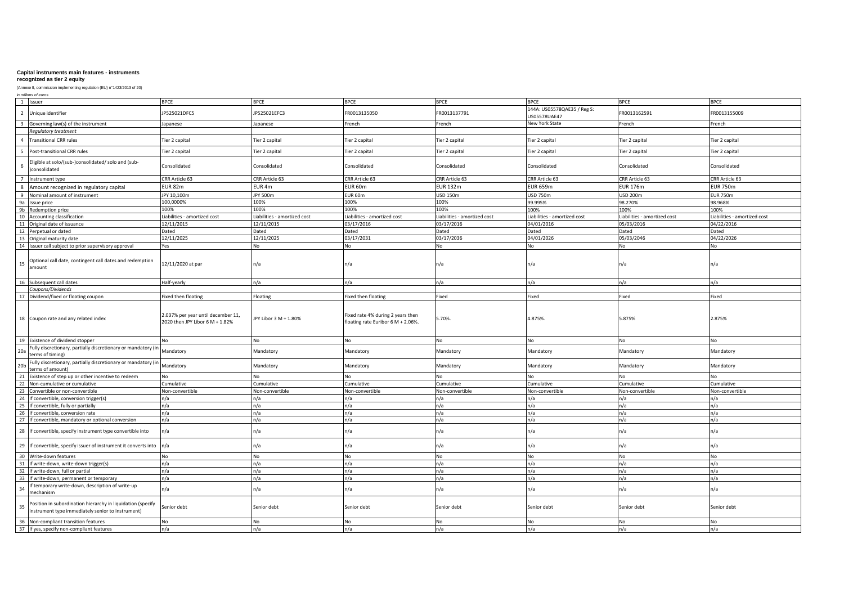# **recognized as tier 2 equity**

(Annexe II, commission implementing regulation (EU) n°1423/2013 of 20) *in millions of euros*

| $\overline{1}$<br>Issuer                                                                                              | <b>BPCE</b>                                                           | <b>BPCE</b>                  | <b>BPCE</b>                                                             | <b>BPCE</b>                  | <b>BPCE</b>                                 | <b>BPCE</b>                  | <b>BPCE</b>                  |
|-----------------------------------------------------------------------------------------------------------------------|-----------------------------------------------------------------------|------------------------------|-------------------------------------------------------------------------|------------------------------|---------------------------------------------|------------------------------|------------------------------|
| $\overline{z}$<br>Unique identifier                                                                                   | P525021DFC5                                                           | JP525021EFC3                 | R0013135050                                                             | FR0013137791                 | 144A: US05578QAE35 / Reg S:<br>US05578UAE47 | FR0013162591                 | FR0013155009                 |
| Governing law(s) of the instrument<br>$\overline{3}$                                                                  | Japanese                                                              | Japanese                     | rench                                                                   | French                       | New York State                              | French                       | French                       |
| Regulatory treatment                                                                                                  |                                                                       |                              |                                                                         |                              |                                             |                              |                              |
| Fransitional CRR rules                                                                                                | lier 2 capital                                                        | Tier 2 capital               | Tier 2 capital                                                          | Tier 2 capital               | Tier 2 capital                              | Tier 2 capital               | Tier 2 capital               |
| Post-transitional CRR rules<br>5                                                                                      | Fier 2 capital                                                        | Tier 2 capital               | Fier 2 capital                                                          | Tier 2 capital               | Tier 2 capital                              | Tier 2 capital               | Tier 2 capital               |
| Eligible at solo/(sub-)consolidated/ solo and (sub-<br>consolidated                                                   | Consolidated                                                          | Consolidated                 | Consolidated                                                            | Consolidated                 | Consolidated                                | Consolidated                 | Consolidated                 |
| nstrument type                                                                                                        | CRR Article 63                                                        | CRR Article 63               | CRR Article 63                                                          | CRR Article 63               | CRR Article 63                              | CRR Article 63               | CRR Article 63               |
| 8<br>Amount recognized in regulatory capital                                                                          | <b>EUR 82m</b>                                                        | EUR <sub>4m</sub>            | EUR 60m                                                                 | <b>EUR 132m</b>              | <b>EUR 659m</b>                             | <b>EUR 176m</b>              | <b>EUR 750m</b>              |
| q<br>Nominal amount of instrument                                                                                     | JPY 10,100m                                                           | <b>JPY 500m</b>              | UR 60m                                                                  | <b>USD 150m</b>              | <b>USD 750m</b>                             | USD 200m                     | <b>EUR 750m</b>              |
| 9a<br>ssue price                                                                                                      | 100,0000%                                                             | 100%                         | 100%                                                                    | 100%                         | 99.995%                                     | 98.270%                      | 98.968%                      |
| 9 <sub>b</sub><br>Redemption price                                                                                    | 100%                                                                  | 100%                         | 100%                                                                    | 100%                         | 100%                                        | 100%                         | 100%                         |
| <b>Accounting classification</b><br>10                                                                                | Liabilities - amortized cost                                          | Liabilities - amortized cost | Liabilities - amortized cost                                            | Liabilities - amortized cost | Liabilities - amortized cost                | Liabilities - amortized cost | Liabilities - amortized cost |
| Original date of issuance<br>11                                                                                       | 12/11/2015                                                            | 12/11/2015                   | 03/17/2016                                                              | 03/17/2016                   | 04/01/2016                                  | 05/03/2016                   | 04/22/2016                   |
| 12<br>Perpetual or dated                                                                                              | Dated                                                                 | Dated                        | Dated                                                                   | Dated                        | Dated                                       | Dated                        | Dated                        |
| 13<br>Original maturity date                                                                                          | 12/11/2025                                                            | 12/11/2025                   | 03/17/2031                                                              | 03/17/2036                   | 04/01/2026                                  | 05/03/2046                   | 04/22/2026                   |
| 14<br>Issuer call subject to prior supervisory approval                                                               | Yes                                                                   | No.                          | No                                                                      | No                           | No                                          | No                           | <b>No</b>                    |
| Optional call date, contingent call dates and redemption<br>15<br>amount                                              | 12/11/2020 at par                                                     | n/a                          | n/a                                                                     | n/a                          | n/a                                         | n/a                          | n/a                          |
| 16<br>Subsequent call dates                                                                                           | Half-yearly                                                           | n/a                          | n/a                                                                     | n/a                          | n/a                                         | n/a                          | n/a                          |
| Coupons/Dividends                                                                                                     |                                                                       |                              |                                                                         |                              |                                             |                              |                              |
| Dividend/fixed or floating coupon<br>17                                                                               | ixed then floating                                                    | Floating                     | Fixed then floating                                                     | Fixed                        | Fixed                                       | Fixed                        | Fixed                        |
| 18 Coupon rate and any related index                                                                                  | 2.037% per year until december 11,<br>2020 then JPY Libor 6 M + 1.82% | JPY Libor 3 M + 1.80%        | Fixed rate 4% during 2 years then<br>floating rate Euribor 6 M + 2.06%. | 5.70%                        | 4.875%.                                     | 5.875%                       | 2.875%                       |
| 19 Existence of dividend stopper                                                                                      | No                                                                    | No                           | <b>No</b>                                                               | No                           | No                                          | No                           | <b>No</b>                    |
| ully discretionary, partially discretionary or mandatory<br>20a<br>erms of timing)                                    | Mandatory                                                             | Mandatory                    | Mandatory                                                               | Mandatory                    | Mandatory                                   | Mandatory                    | Mandatory                    |
| ully discretionary, partially discretionary or mandatory<br>20 <sub>b</sub><br>erms of amount)                        | Mandatory                                                             | Mandatory                    | Mandatory                                                               | Mandatory                    | Mandatory                                   | Mandatory                    | Mandatory                    |
| Existence of step up or other incentive to redeem<br>$\mathcal{P}$                                                    | No                                                                    | No                           | No                                                                      | No                           | No                                          | No                           | No                           |
| Von-cumulative or cumulative<br>22                                                                                    | Cumulative                                                            | Cumulative                   | Cumulative                                                              | Cumulative                   | Cumulative                                  | Cumulative                   | Cumulative                   |
| 23<br>Convertible or non-convertible                                                                                  | Non-convertible                                                       | Non-convertible              | <b>Non-convertible</b>                                                  | Non-convertible              | Non-convertible                             | Non-convertible              | Non-convertible              |
| 24<br>f convertible, conversion trigger(s)                                                                            | n/a                                                                   | n/a                          | n/a                                                                     | n/a                          | n/a                                         | n/a                          | n/a                          |
| 25<br>f convertible, fully or partially                                                                               | n/a                                                                   | n/a                          | n/a                                                                     | n/a                          | n/a                                         | n/a                          | n/a                          |
| 26<br>f convertible, conversion rate                                                                                  | n/a                                                                   | n/a                          | n/a                                                                     | n/a                          | n/a                                         | n/a                          | n/a                          |
| 27<br>If convertible, mandatory or optional conversion                                                                | n/a                                                                   | n/a                          | n/a                                                                     | n/a                          | n/a                                         | n/a                          | n/a                          |
| 28 If convertible, specify instrument type convertible into                                                           | n/a                                                                   | n/a                          | n/a                                                                     | n/a                          | n/a                                         | n/a                          | n/a                          |
| 29 If convertible, specify issuer of instrument it converts into n/a                                                  |                                                                       | n/a                          | n/a                                                                     | n/a                          | n/a                                         | n/a                          | n/a                          |
| 30<br>Write-down features                                                                                             | No                                                                    | No                           | No                                                                      | No                           | No                                          | No                           | No                           |
| 31<br>f write-down, write-down trigger(s)                                                                             | n/a                                                                   | n/a                          | n/a                                                                     | n/a                          | n/a                                         | n/a                          | n/a                          |
| 32<br>f write-down, full or partial                                                                                   | n/a                                                                   | n/a                          | n/a                                                                     | n/a                          | n/a                                         | n/a                          | n/a                          |
| 33<br>f write-down, permanent or temporary                                                                            | n/a                                                                   | n/a                          | n/a                                                                     | n/a                          | n/a                                         | n/a                          | n/a                          |
| temporary write-down, description of write-up<br>3 <sub>4</sub><br>nechanism                                          | n/a                                                                   | n/a                          | n/a                                                                     | n/a                          | n/a                                         | n/a                          | n/a                          |
| Position in subordination hierarchy in liquidation (specify<br>35<br>nstrument type immediately senior to instrument) | Senior debt                                                           | Senior debt                  | Senior debt                                                             | Senior debt                  | Senior debt                                 | Senior debt                  | Senior debt                  |
| Non-compliant transition features<br>36                                                                               | <b>No</b>                                                             | No                           | <b>No</b>                                                               | No.                          | No                                          | No                           | No                           |
| 37 If yes, specify non-compliant features                                                                             | n/a                                                                   | n/a                          | n/a                                                                     | n/a                          | n/a                                         | n/a                          | n/a                          |